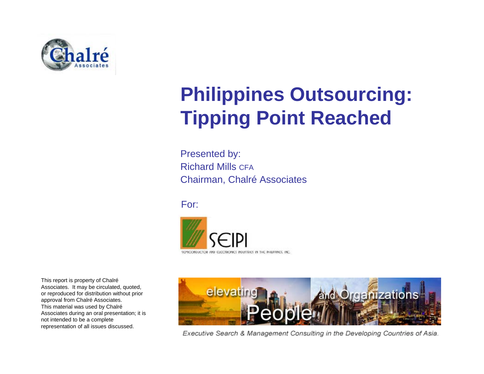

## **Philippines Outsourcing: Tipping Point Reached**

Presented by: Richard Mills CFAChairman, Chalré Associates

For:



This report is property of Chalré Associates. It may be circulated, quoted, or reproduced for distribution without prior approval from Chalré Associates. This material was used by Chalré Associates during an oral presentation; it is not intended to be a complete representation of all issues discussed.



Executive Search & Management Consulting in the Developing Countries of Asia.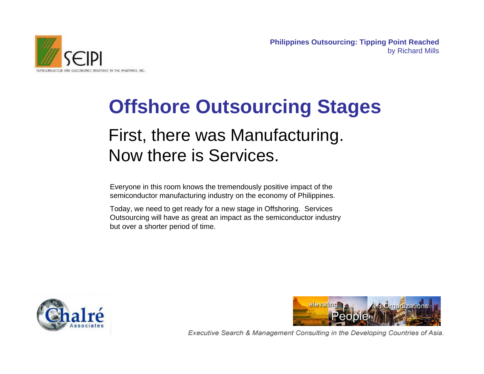

## First, there was Manufacturing. Now there is Services. **Offshore Outsourcing Stages**

Everyone in this room knows the tremendously positive impact of the semiconductor manufacturing industry on the economy of Philippines.

Today, we need to get ready for a new stage in Offshoring. Services Outsourcing will have as great an impact as the semiconductor industry but over a shorter period of time.



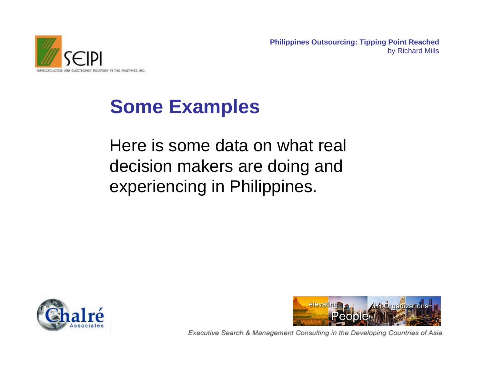

## **Some Examples**

Here is some data on what real decision makers are doing and experiencing in Philippines.



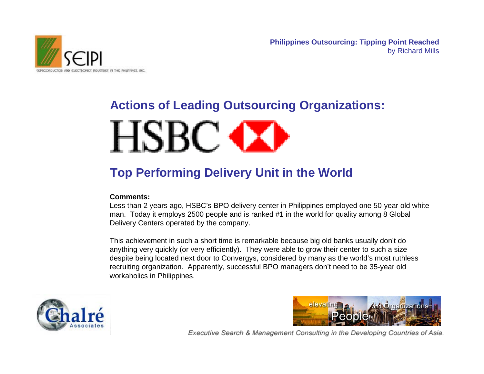

# **Actions of Leading Outsourcing Organizations:**

# **HSBC OX**

### **Top Performing Delivery Unit in the World**

#### **Comments:**

Less than 2 years ago, HSBC's BPO delivery center in Philippines employed one 50-year old white man. Today it employs 2500 people and is ranked #1 in the world for quality among 8 Global Delivery Centers operated by the company.

This achievement in such a short time is remarkable because big old banks usually don't do anything very quickly (or very efficiently). They were able to grow their center to such a size despite being located next door to Convergys, considered by many as the world's most ruthless recruiting organization. Apparently, successful BPO managers don't need to be 35-year old workaholics in Philippines.



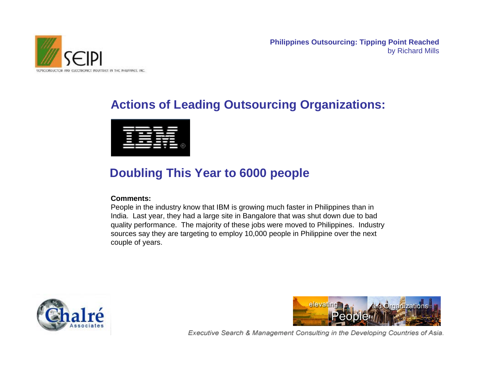

#### **Actions of Leading Outsourcing Organizations:**



#### **Doubling This Year to 6000 people**

#### **Comments:**

People in the industry know that IBM is growing much faster in Philippines than in India. Last year, they had a large site in Bangalore that was shut down due to bad quality performance. The majority of these jobs were moved to Philippines. Industry sources say they are targeting to employ 10,000 people in Philippine over the next couple of years.



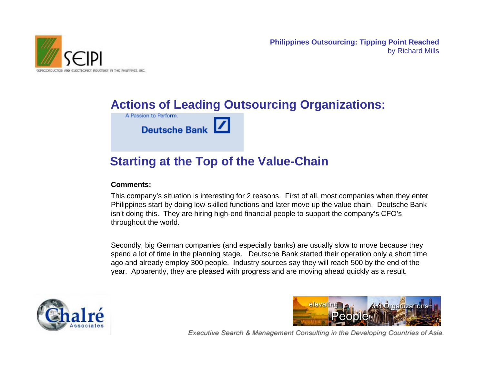

#### **Actions of Leading Outsourcing Organizations:**

A Passion to Perform.

**Deutsche Bank** 

#### **Starting at the Top of the Value-Chain**

#### **Comments:**

This company's situation is interesting for 2 reasons. First of all, most companies when they enter Philippines start by doing low-skilled functions and later move up the value chain. Deutsche Bank isn't doing this. They are hiring high-end financial people to support the company's CFO's throughout the world.

Secondly, big German companies (and especially banks) are usually slow to move because they spend a lot of time in the planning stage. Deutsche Bank started their operation only a short time ago and already employ 300 people. Industry sources say they will reach 500 by the end of the year. Apparently, they are pleased with progress and are moving ahead quickly as a result.



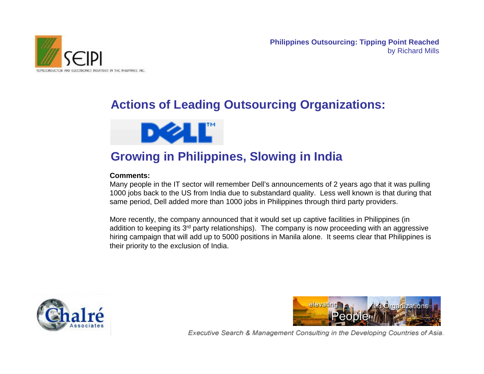

#### **Actions of Leading Outsourcing Organizations:**



#### **Growing in Philippines, Slowing in India**

#### **Comments:**

Many people in the IT sector will remember Dell's announcements of 2 years ago that it was pulling 1000 jobs back to the US from India due to substandard quality. Less well known is that during that same period, Dell added more than 1000 jobs in Philippines through third party providers.

More recently, the company announced that it would set up captive facilities in Philippines (in addition to keeping its  $3<sup>rd</sup>$  party relationships). The company is now proceeding with an aggressive hiring campaign that will add up to 5000 positions in Manila alone. It seems clear that Philippines is their priority to the exclusion of India.



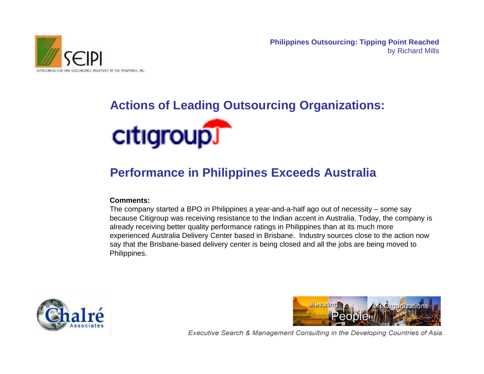

### **Actions of Leading Outsourcing Organizations:**



#### **Performance in Philippines Exceeds Australia**

#### **Comments:**

The company started a BPO in Philippines a year-and-a-half ago out of necessity – some say because Citigroup was receiving resistance to the Indian accent in Australia. Today, the company is already receiving better quality performance ratings in Philippines than at its much more experienced Australia Delivery Center based in Brisbane. Industry sources close to the action now say that the Brisbane-based delivery center is being closed and all the jobs are being moved to Philippines.



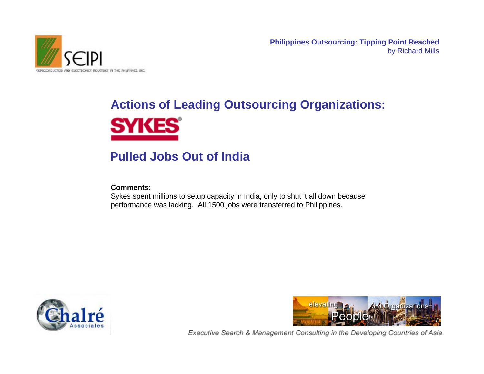

## **Actions of Leading Outsourcing Organizations: SYKES**

#### **Pulled Jobs Out of India**

#### **Comments:**

Sykes spent millions to setup capacity in India, only to shut it all down because performance was lacking. All 1500 jobs were transferred to Philippines.



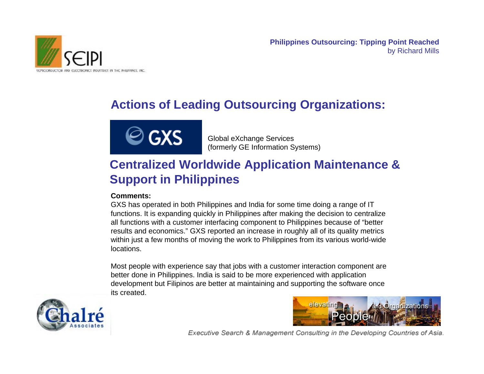

### **Actions of Leading Outsourcing Organizations:**



Global eXchange Services (formerly GE Information Systems)

#### **Centralized Worldwide Application Maintenance & Support in Philippines**

#### **Comments:**

GXS has operated in both Philippines and India for some time doing a range of IT functions. It is expanding quickly in Philippines after making the decision to centralize all functions with a customer interfacing component to Philippines because of "better results and economics." GXS reported an increase in roughly all of its quality metrics within just a few months of moving the work to Philippines from its various world-wide locations.

Most people with experience say that jobs with a customer interaction component are better done in Philippines. India is said to be more experienced with application development but Filipinos are better at maintaining and supporting the software once its created.



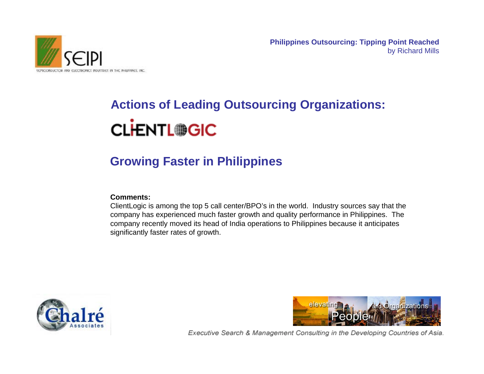

## **Actions of Leading Outsourcing Organizations: CLHENTL®GIC**

### **Growing Faster in Philippines**

#### **Comments:**

ClientLogic is among the top 5 call center/BPO's in the world. Industry sources say that the company has experienced much faster growth and quality performance in Philippines. The company recently moved its head of India operations to Philippines because it anticipates significantly faster rates of growth.



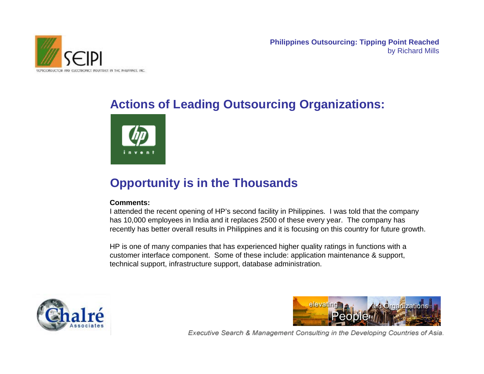

### **Actions of Leading Outsourcing Organizations:**



### **Opportunity is in the Thousands**

#### **Comments:**

I attended the recent opening of HP's second facility in Philippines. I was told that the company has 10,000 employees in India and it replaces 2500 of these every year. The company has recently has better overall results in Philippines and it is focusing on this country for future growth.

HP is one of many companies that has experienced higher quality ratings in functions with a customer interface component. Some of these include: application maintenance & support, technical support, infrastructure support, database administration.



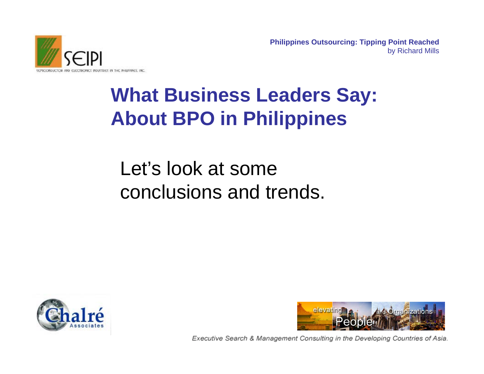

## **What Business Leaders Say: About BPO in Philippines**

## Let's look at some conclusions and trends.



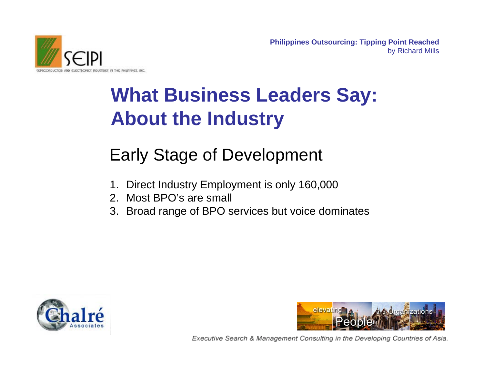

## **What Business Leaders Say: About the Industry**

### Early Stage of Development

- 1. Direct Industry Employment is only 160,000
- 2. Most BPO's are small
- 3. Broad range of BPO services but voice dominates



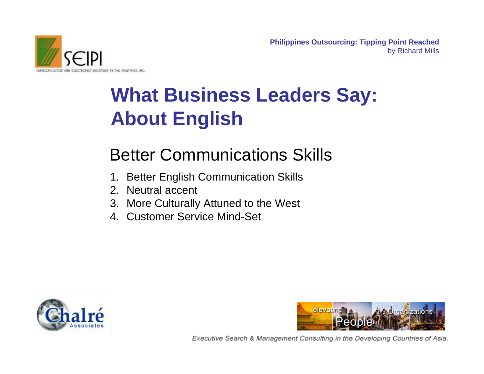

## **What Business Leaders Say: About English**

### Better Communications Skills

- 1. Better English Communication Skills
- 2. Neutral accent
- 3. More Culturally Attuned to the West
- 4. Customer Service Mind-Set



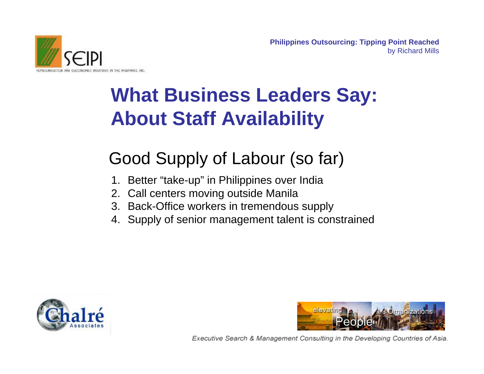

## **What Business Leaders Say: About Staff Availability**

## Good Supply of Labour (so far)

- 1. Better "take-up" in Philippines over India
- 2. Call centers moving outside Manila
- 3. Back-Office workers in tremendous supply
- 4. Supply of senior management talent is constrained



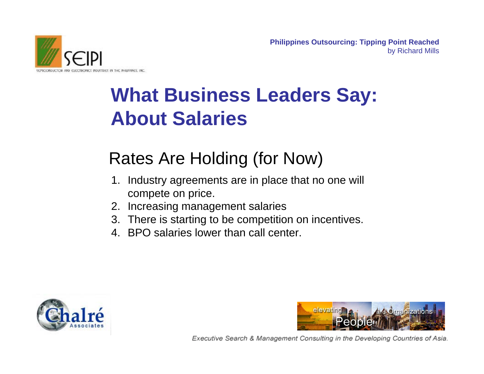

## **What Business Leaders Say: About Salaries**

## Rates Are Holding (for Now)

- 1. Industry agreements are in place that no one will compete on price.
- 2. Increasing management salaries
- 3. There is starting to be competition on incentives.
- 4. BPO salaries lower than call center.



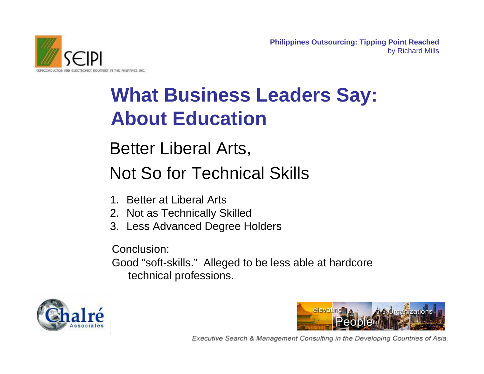

## **What Business Leaders Say: About Education**

Better Liberal Arts, Not So for Technical Skills

- 1. Better at Liberal Arts
- 2. Not as Technically Skilled
- 3. Less Advanced Degree Holders

Conclusion: Good "soft-skills." Alleged to be less able at hardcore technical professions.



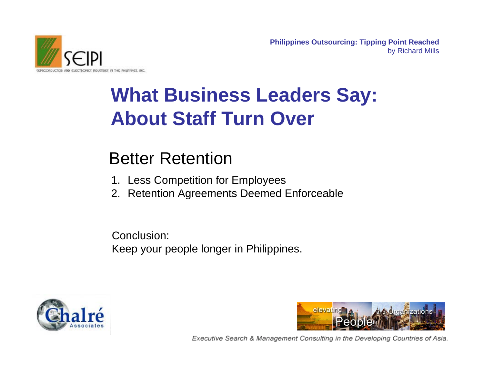

## **What Business Leaders Say: About Staff Turn Over**

### Better Retention

- 1. Less Competition for Employees
- 2. Retention Agreements Deemed Enforceable

Conclusion: Keep your people longer in Philippines.



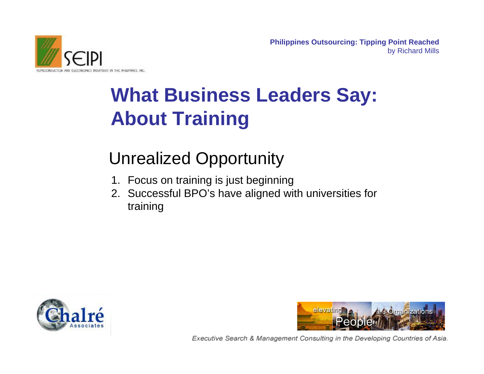

## **What Business Leaders Say: About Training**

## Unrealized Opportunity

- 1. Focus on training is just beginning
- 2. Successful BPO's have aligned with universities for training



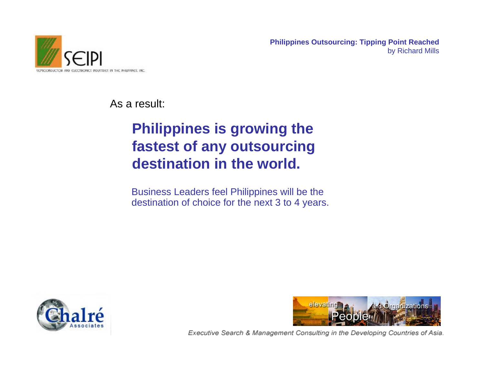

As a result:

### **Philippines is growing the fastest of any outsourcing destination in the world.**

Business Leaders feel Philippines will be the destination of choice for the next 3 to 4 years.



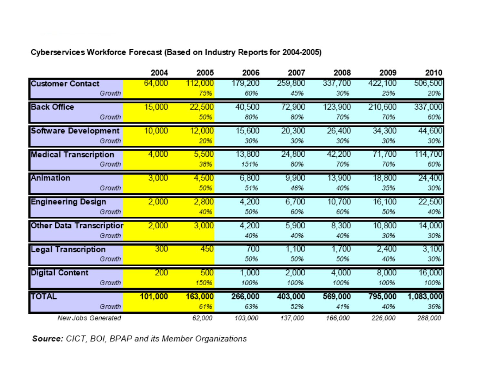|                                           | 2004    | 2005    | 2006         | 2007         | 2008         | 2009          | 2010          |
|-------------------------------------------|---------|---------|--------------|--------------|--------------|---------------|---------------|
| <b>Customer Contact</b>                   | 64,000  | 112,000 | 179,200      | 259,800      | 337,700      | 422,100       | 506,500       |
| Growth                                    |         | 75%     | 60%          | 45%          | 30%          | 25%           | 20%           |
| <b>Back Office</b>                        | 15,000  | 22,500  | 40,500       | 72,900       | 123,900      | 210,600       | 337,000       |
| Growth                                    |         | 50%     | 80%          | 80%          | 70%          | 70%           | 60%           |
| Software Development                      | 10,000  | 12,000  | 15,600       | 20,300       | 26,400       | 34,300        | 44,600        |
| Growth                                    |         | 20%     | 30%          | 30%          | 30%          | 30%           | 30%           |
| <b>Medical Transcription</b>              | 4,000   | 5,500   | 13,800       | 24,800       | 42,200       | 71,700        | 114,700       |
| Growth                                    |         | 38%     | 151%         | 80%          | 70%          | 70%           | 60%           |
| Animation                                 | 3,000   | 4,500   | 6,800        | 9,900        | 13,900       | 18,800        | 24,400        |
| Growth                                    |         | 50%     | 51%          | 46%          | 40%          | 35%           | 30%           |
| <b>Engineering Design</b>                 | 2,000   | 2,800   | 4,200        | 6,700        | 10,700       | 16,100        | 22,500        |
| Growth                                    |         | 40%     | 50%          | 60%          | 60%          | 50%           | 40%           |
| <b>Other Data Transcriptior</b><br>Growth | 2,000   | 3,000   | 4,200<br>40% | 5,900<br>40% | 8,300<br>40% | 10,800<br>30% | 14,000<br>30% |
| <b>Legal Transcription</b><br>Growth      | 300     | 450     | 700<br>50%   | 1,100<br>50% | 1,700<br>50% | 2,400<br>40%  | 3,100<br>30%  |
| <b>Digital Content</b>                    | 200     | 500     | 1,000        | 2,000        | 4,000        | 8,000         | 16,000        |
| Growth                                    |         | 150%    | 100%         | 100%         | 100%         | 100%          | 100%          |
| <b>TOTAL</b>                              | 101,000 | 163,000 | 266,000      | 403,000      | 569,000      | 795,000       | 1,083,000     |
| Growth                                    |         | 61%     | 63%          | 52%          | 41%          | 40%           | 36%           |
| New Jobs Generated                        |         | 62,000  | 103,000      | 137,000      | 166,000      | 226,000       | 288,000       |

Source: CICT, BOI, BPAP and its Member Organizations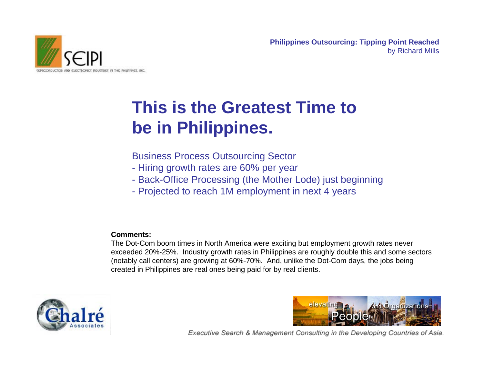

## **This is the Greatest Time to be in Philippines.**

Business Process Outsourcing Sector

- Hiring growth rates are 60% per year
- Back-Office Processing (the Mother Lode) just beginning
- Projected to reach 1M employment in next 4 years

#### **Comments:**

The Dot-Com boom times in North America were exciting but employment growth rates never exceeded 20%-25%. Industry growth rates in Philippines are roughly double this and some sectors (notably call centers) are growing at 60%-70%. And, unlike the Dot-Com days, the jobs being created in Philippines are real ones being paid for by real clients.



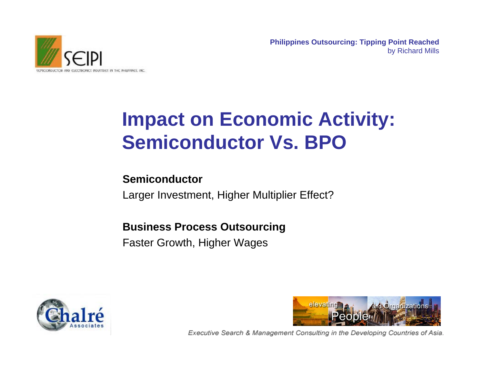

## **Impact on Economic Activity: Semiconductor Vs. BPO**

#### **Semiconductor**

Larger Investment, Higher Multiplier Effect?

#### **Business Process Outsourcing**

Faster Growth, Higher Wages



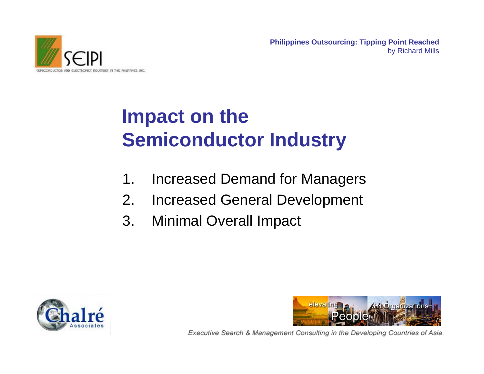ELECTRONICS INDUSTRIES IN THE PHILIPPINES, INC.

**Philippines Outsourcing: Tipping Point Reached** by Richard Mills

## **Impact on the Semiconductor Industry**

- 1. Increased Demand for Managers
- 2. Increased General Development
- 3. Minimal Overall Impact



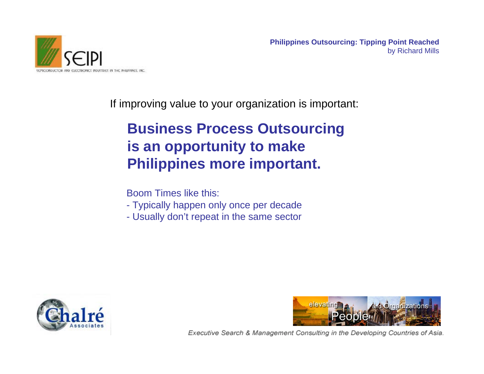

If improving value to your organization is important:

### **Business Process Outsourcing is an opportunity to make Philippines more important.**

Boom Times like this:

- Typically happen only once per decade
- Usually don't repeat in the same sector



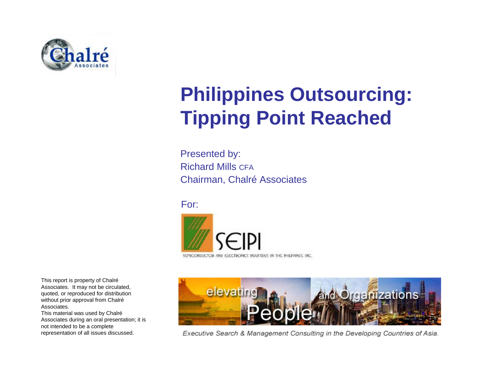

## **Philippines Outsourcing: Tipping Point Reached**

Presented by: Richard Mills CFAChairman, Chalré Associates

For:



This report is property of Chalré Associates. It may not be circulated, quoted, or reproduced for distribution without prior approval from Chalré Associates.

This material was used by Chalré Associates during an oral presentation; it is not intended to be a complete representation of all issues discussed.



Executive Search & Management Consulting in the Developing Countries of Asia.